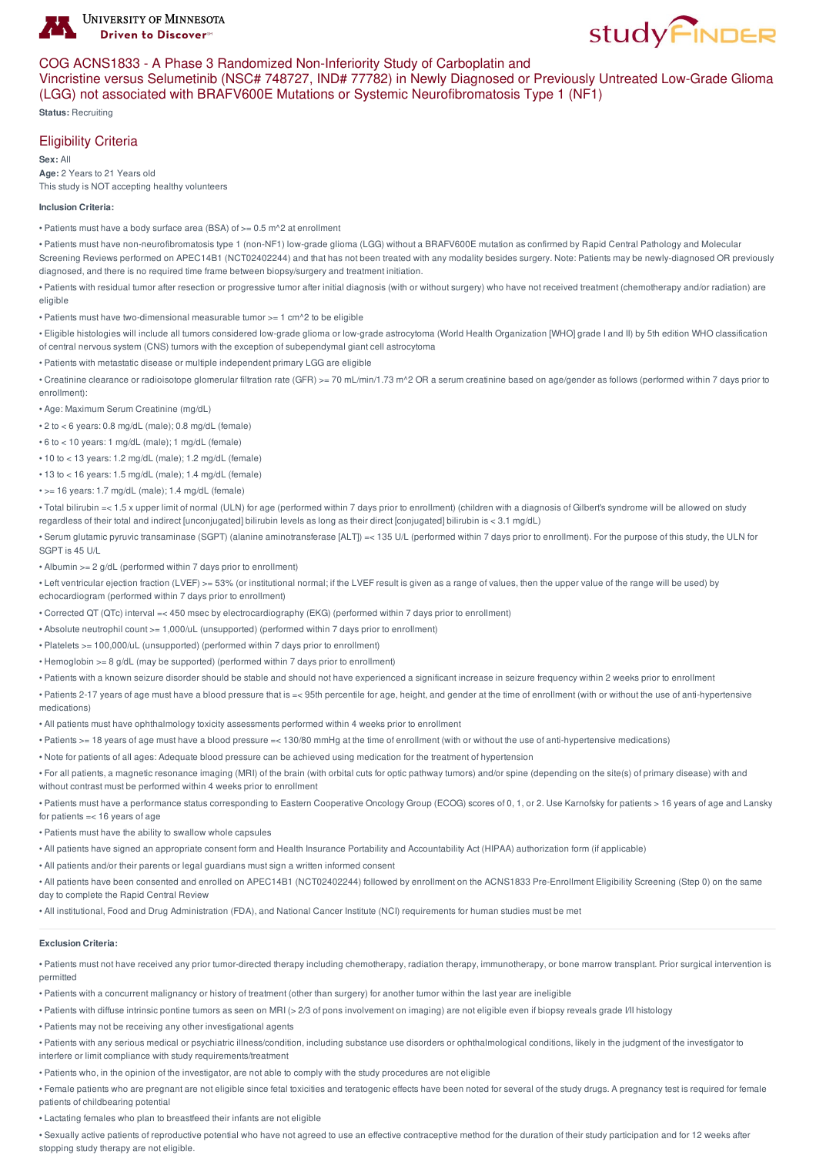

# COG ACNS1833 - A Phase 3 Randomized Non-Inferiority Study of Carboplatin and

Vincristine versus Selumetinib (NSC# 748727, IND# 77782) in Newly Diagnosed or Previously Untreated Low-Grade Glioma (LGG) not associated with BRAFV600E Mutations or Systemic Neurofibromatosis Type 1 (NF1)

**study FINDER** 

**Status:** Recruiting

## Eligibility Criteria

**Sex:** All **Age:** 2 Years to 21 Years old This study is NOT accepting healthy volunteers

#### **Inclusion Criteria:**

• Patients must have a body surface area (BSA) of >= 0.5 m^2 at enrollment

• Patients must have non-neurofibromatosis type 1 (non-NF1) low-grade glioma (LGG) without a BRAFV600E mutation as confirmed by Rapid Central Pathology and Molecular Screening Reviews performed on APEC14B1 (NCT02402244) and that has not been treated with any modality besides surgery. Note: Patients may be newly-diagnosed OR previously diagnosed, and there is no required time frame between biopsy/surgery and treatment initiation.

• Patients with residual tumor after resection or progressive tumor after initial diagnosis (with or without surgery) who have not received treatment (chemotherapy and/or radiation) are eligible

• Patients must have two-dimensional measurable tumor >= 1 cm^2 to be eligible

• Eligible histologies will include all tumors considered low-grade glioma or low-grade astrocytoma (World Health Organization [WHO] grade I and II) by 5th edition WHO classification of central nervous system (CNS) tumors with the exception of subependymal giant cell astrocytoma

• Patients with metastatic disease or multiple independent primary LGG are eligible

• Creatinine clearance or radioisotope glomerular filtration rate (GFR) >= 70 mL/min/1.73 m^2 OR a serum creatinine based on age/gender as follows (performed within 7 days prior to enrollment):

• Age: Maximum Serum Creatinine (mg/dL)

• 2 to < 6 years: 0.8 mg/dL (male); 0.8 mg/dL (female)

• 6 to < 10 years: 1 mg/dL (male); 1 mg/dL (female)

• 10 to < 13 years: 1.2 mg/dL (male); 1.2 mg/dL (female)

• 13 to < 16 years: 1.5 mg/dL (male); 1.4 mg/dL (female)

• >= 16 years: 1.7 mg/dL (male); 1.4 mg/dL (female)

• Total bilirubin =< 1.5 x upper limit of normal (ULN) for age (performed within 7 days prior to enrollment) (children with a diagnosis of Gilbert's syndrome will be allowed on study regardless of their total and indirect [unconjugated] bilirubin levels as long as their direct [conjugated] bilirubin is < 3.1 mg/dL)

• Serum glutamic pyruvic transaminase (SGPT) (alanine aminotransferase [ALT]) =< 135 U/L (performed within 7 days prior to enrollment). For the purpose of this study, the ULN for SGPT is 45 U/L

• Albumin >= 2 g/dL (performed within 7 days prior to enrollment)

• Left ventricular ejection fraction (LVEF) >= 53% (or institutional normal; if the LVEF result is given as a range of values, then the upper value of the range will be used) by echocardiogram (performed within 7 days prior to enrollment)

• Corrected QT (QTc) interval =< 450 msec by electrocardiography (EKG) (performed within 7 days prior to enrollment)

• Absolute neutrophil count >= 1,000/uL (unsupported) (performed within 7 days prior to enrollment)

• Platelets >= 100,000/uL (unsupported) (performed within 7 days prior to enrollment)

• Hemoglobin >= 8 g/dL (may be supported) (performed within 7 days prior to enrollment)

• Patients with a known seizure disorder should be stable and should not have experienced a significant increase in seizure frequency within 2 weeks prior to enrollment

• Patients 2-17 years of age must have a blood pressure that is =< 95th percentile for age, height, and gender at the time of enrollment (with or without the use of anti-hypertensive medications)

• All patients must have ophthalmology toxicity assessments performed within 4 weeks prior to enrollment

• Patients >= 18 years of age must have a blood pressure =< 130/80 mmHg at the time of enrollment (with or without the use of anti-hypertensive medications)

• Note for patients of all ages: Adequate blood pressure can be achieved using medication for the treatment of hypertension

• For all patients, a magnetic resonance imaging (MRI) of the brain (with orbital cuts for optic pathway tumors) and/or spine (depending on the site(s) of primary disease) with and without contrast must be performed within 4 weeks prior to enrollment

• Patients must have a performance status corresponding to Eastern Cooperative Oncology Group (ECOG) scores of 0, 1, or 2. Use Karnofsky for patients > 16 years of age and Lansky for patients =< 16 years of age

• Patients must have the ability to swallow whole capsules

• All patients have signed an appropriate consent form and Health Insurance Portability and Accountability Act (HIPAA) authorization form (if applicable)

• All patients and/or their parents or legal guardians must sign a written informed consent

• All patients have been consented and enrolled on APEC14B1 (NCT02402244) followed by enrollment on the ACNS1833 Pre-Enrollment Eligibility Screening (Step 0) on the same day to complete the Rapid Central Review

• All institutional, Food and Drug Administration (FDA), and National Cancer Institute (NCI) requirements for human studies must be met

#### **Exclusion Criteria:**

• Patients must not have received any prior tumor-directed therapy including chemotherapy, radiation therapy, immunotherapy, or bone marrow transplant. Prior surgical intervention is permitted

• Patients with a concurrent malignancy or history of treatment (other than surgery) for another tumor within the last year are ineligible

• Patients with diffuse intrinsic pontine tumors as seen on MRI (> 2/3 of pons involvement on imaging) are not eligible even if biopsy reveals grade I/II histology

• Patients may not be receiving any other investigational agents

• Patients with any serious medical or psychiatric illness/condition, including substance use disorders or ophthalmological conditions, likely in the judgment of the investigator to interfere or limit compliance with study requirements/treatment

• Patients who, in the opinion of the investigator, are not able to comply with the study procedures are not eligible

• Female patients who are pregnant are not eligible since fetal toxicities and teratogenic effects have been noted for several of the study drugs. A pregnancy test is required for female patients of childbearing potential

• Lactating females who plan to breastfeed their infants are not eligible

• Sexually active patients of reproductive potential who have not agreed to use an effective contraceptive method for the duration of their study participation and for 12 weeks after stopping study therapy are not eligible.